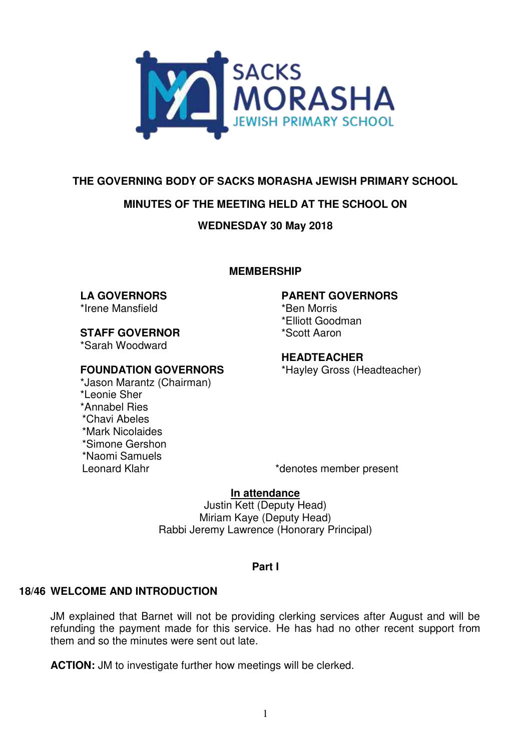

# **THE GOVERNING BODY OF SACKS MORASHA JEWISH PRIMARY SCHOOL**

# **MINUTES OF THE MEETING HELD AT THE SCHOOL ON**

**WEDNESDAY 30 May 2018** 

## **MEMBERSHIP**

#### **LA GOVERNORS**  \*Irene Mansfield

**STAFF GOVERNOR** 

\*Sarah Woodward

## **FOUNDATION GOVERNORS**

\*Jason Marantz (Chairman) \*Leonie Sher \*Annabel Ries \*Chavi Abeles \*Mark Nicolaides \*Simone Gershon \*Naomi Samuels Leonard Klahr \*denotes member present

## **PARENT GOVERNORS**

\*Ben Morris \*Elliott Goodman \*Scott Aaron

#### **HEADTEACHER**

\*Hayley Gross (Headteacher)

# **In attendance**

Justin Kett (Deputy Head) Miriam Kaye (Deputy Head) Rabbi Jeremy Lawrence (Honorary Principal)

# **Part I**

# **18/46 WELCOME AND INTRODUCTION**

JM explained that Barnet will not be providing clerking services after August and will be refunding the payment made for this service. He has had no other recent support from them and so the minutes were sent out late.

**ACTION:** JM to investigate further how meetings will be clerked.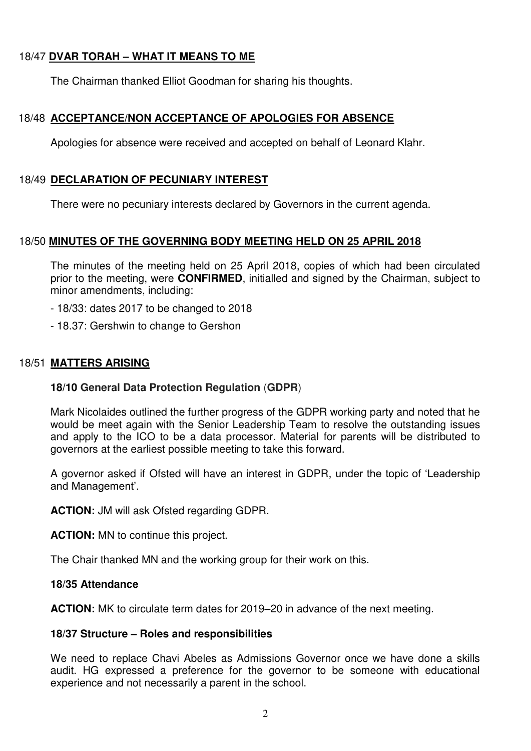# 18/47 **DVAR TORAH – WHAT IT MEANS TO ME**

The Chairman thanked Elliot Goodman for sharing his thoughts.

# 18/48 **ACCEPTANCE/NON ACCEPTANCE OF APOLOGIES FOR ABSENCE**

Apologies for absence were received and accepted on behalf of Leonard Klahr.

# 18/49 **DECLARATION OF PECUNIARY INTEREST**

There were no pecuniary interests declared by Governors in the current agenda.

# 18/50 **MINUTES OF THE GOVERNING BODY MEETING HELD ON 25 APRIL 2018**

The minutes of the meeting held on 25 April 2018, copies of which had been circulated prior to the meeting, were **CONFIRMED**, initialled and signed by the Chairman, subject to minor amendments, including:

- 18/33: dates 2017 to be changed to 2018
- 18.37: Gershwin to change to Gershon

# 18/51 **MATTERS ARISING**

# **18/10 General Data Protection Regulation** (**GDPR**)

Mark Nicolaides outlined the further progress of the GDPR working party and noted that he would be meet again with the Senior Leadership Team to resolve the outstanding issues and apply to the ICO to be a data processor. Material for parents will be distributed to governors at the earliest possible meeting to take this forward.

A governor asked if Ofsted will have an interest in GDPR, under the topic of 'Leadership and Management'.

**ACTION:** JM will ask Ofsted regarding GDPR.

**ACTION:** MN to continue this project.

The Chair thanked MN and the working group for their work on this.

#### **18/35 Attendance**

**ACTION:** MK to circulate term dates for 2019–20 in advance of the next meeting.

#### **18/37 Structure – Roles and responsibilities**

We need to replace Chavi Abeles as Admissions Governor once we have done a skills audit. HG expressed a preference for the governor to be someone with educational experience and not necessarily a parent in the school.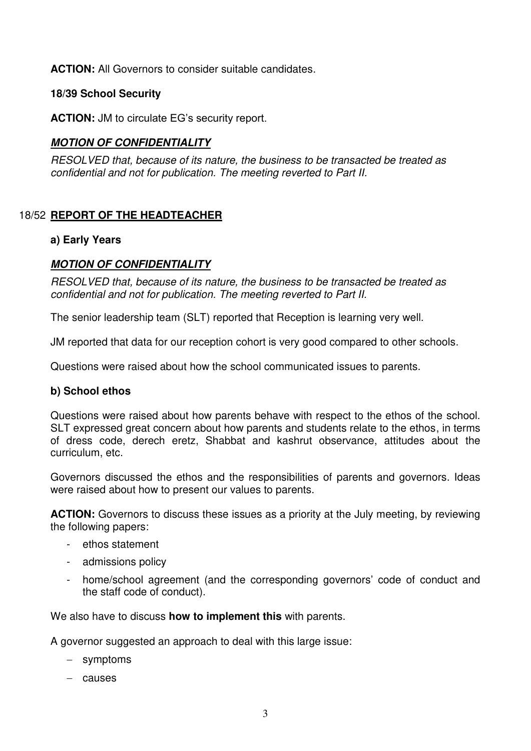**ACTION:** All Governors to consider suitable candidates.

### **18/39 School Security**

**ACTION:** JM to circulate EG's security report.

# *MOTION OF CONFIDENTIALITY*

*RESOLVED that, because of its nature, the business to be transacted be treated as confidential and not for publication. The meeting reverted to Part II.* 

# 18/52 **REPORT OF THE HEADTEACHER**

#### **a) Early Years**

# *MOTION OF CONFIDENTIALITY*

*RESOLVED that, because of its nature, the business to be transacted be treated as confidential and not for publication. The meeting reverted to Part II.* 

The senior leadership team (SLT) reported that Reception is learning very well.

JM reported that data for our reception cohort is very good compared to other schools.

Questions were raised about how the school communicated issues to parents.

#### **b) School ethos**

Questions were raised about how parents behave with respect to the ethos of the school. SLT expressed great concern about how parents and students relate to the ethos, in terms of dress code, derech eretz, Shabbat and kashrut observance, attitudes about the curriculum, etc.

Governors discussed the ethos and the responsibilities of parents and governors. Ideas were raised about how to present our values to parents.

**ACTION:** Governors to discuss these issues as a priority at the July meeting, by reviewing the following papers:

- ethos statement
- admissions policy
- home/school agreement (and the corresponding governors' code of conduct and the staff code of conduct).

We also have to discuss **how to implement this** with parents.

A governor suggested an approach to deal with this large issue:

- symptoms
- $-$  causes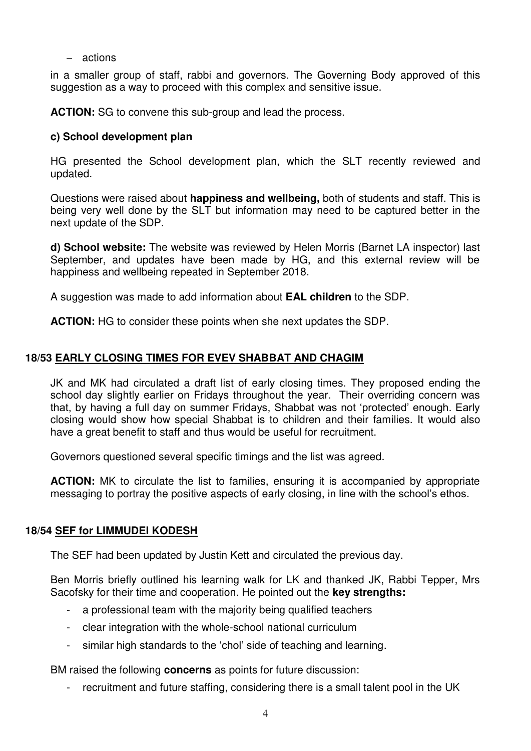$-$  actions

in a smaller group of staff, rabbi and governors. The Governing Body approved of this suggestion as a way to proceed with this complex and sensitive issue.

**ACTION:** SG to convene this sub-group and lead the process.

## **c) School development plan**

HG presented the School development plan, which the SLT recently reviewed and updated.

Questions were raised about **happiness and wellbeing,** both of students and staff. This is being very well done by the SLT but information may need to be captured better in the next update of the SDP.

**d) School website:** The website was reviewed by Helen Morris (Barnet LA inspector) last September, and updates have been made by HG, and this external review will be happiness and wellbeing repeated in September 2018.

A suggestion was made to add information about **EAL children** to the SDP.

**ACTION:** HG to consider these points when she next updates the SDP.

## **18/53 EARLY CLOSING TIMES FOR EVEV SHABBAT AND CHAGIM**

JK and MK had circulated a draft list of early closing times. They proposed ending the school day slightly earlier on Fridays throughout the year. Their overriding concern was that, by having a full day on summer Fridays, Shabbat was not 'protected' enough. Early closing would show how special Shabbat is to children and their families. It would also have a great benefit to staff and thus would be useful for recruitment.

Governors questioned several specific timings and the list was agreed.

**ACTION:** MK to circulate the list to families, ensuring it is accompanied by appropriate messaging to portray the positive aspects of early closing, in line with the school's ethos.

#### **18/54 SEF for LIMMUDEI KODESH**

The SEF had been updated by Justin Kett and circulated the previous day.

Ben Morris briefly outlined his learning walk for LK and thanked JK, Rabbi Tepper, Mrs Sacofsky for their time and cooperation. He pointed out the **key strengths:** 

- a professional team with the majority being qualified teachers
- clear integration with the whole-school national curriculum
- similar high standards to the 'chol' side of teaching and learning.

BM raised the following **concerns** as points for future discussion:

recruitment and future staffing, considering there is a small talent pool in the UK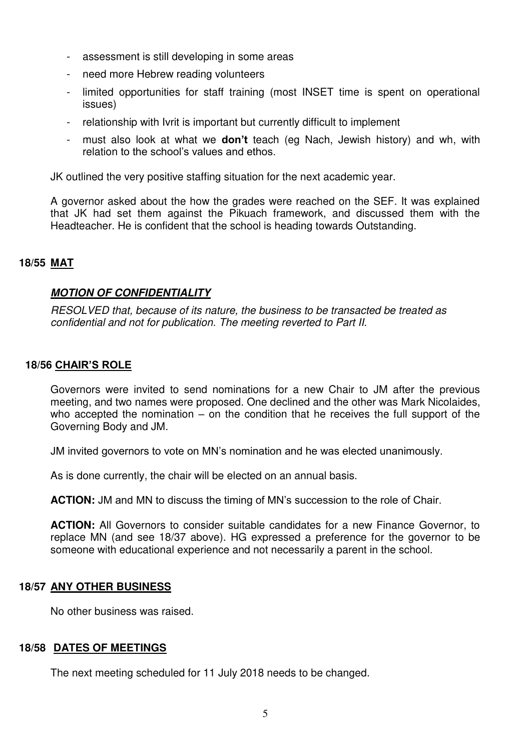- assessment is still developing in some areas
- need more Hebrew reading volunteers
- limited opportunities for staff training (most INSET time is spent on operational issues)
- relationship with Ivrit is important but currently difficult to implement
- must also look at what we **don't** teach (eg Nach, Jewish history) and wh, with relation to the school's values and ethos.

JK outlined the very positive staffing situation for the next academic year.

A governor asked about the how the grades were reached on the SEF. It was explained that JK had set them against the Pikuach framework, and discussed them with the Headteacher. He is confident that the school is heading towards Outstanding.

## **18/55 MAT**

## *MOTION OF CONFIDENTIALITY*

*RESOLVED that, because of its nature, the business to be transacted be treated as confidential and not for publication. The meeting reverted to Part II.* 

## **18/56 CHAIR'S ROLE**

 Governors were invited to send nominations for a new Chair to JM after the previous meeting, and two names were proposed. One declined and the other was Mark Nicolaides, who accepted the nomination – on the condition that he receives the full support of the Governing Body and JM.

JM invited governors to vote on MN's nomination and he was elected unanimously.

As is done currently, the chair will be elected on an annual basis.

**ACTION:** JM and MN to discuss the timing of MN's succession to the role of Chair.

**ACTION:** All Governors to consider suitable candidates for a new Finance Governor, to replace MN (and see 18/37 above). HG expressed a preference for the governor to be someone with educational experience and not necessarily a parent in the school.

#### **18/57 ANY OTHER BUSINESS**

No other business was raised.

#### **18/58 DATES OF MEETINGS**

The next meeting scheduled for 11 July 2018 needs to be changed.